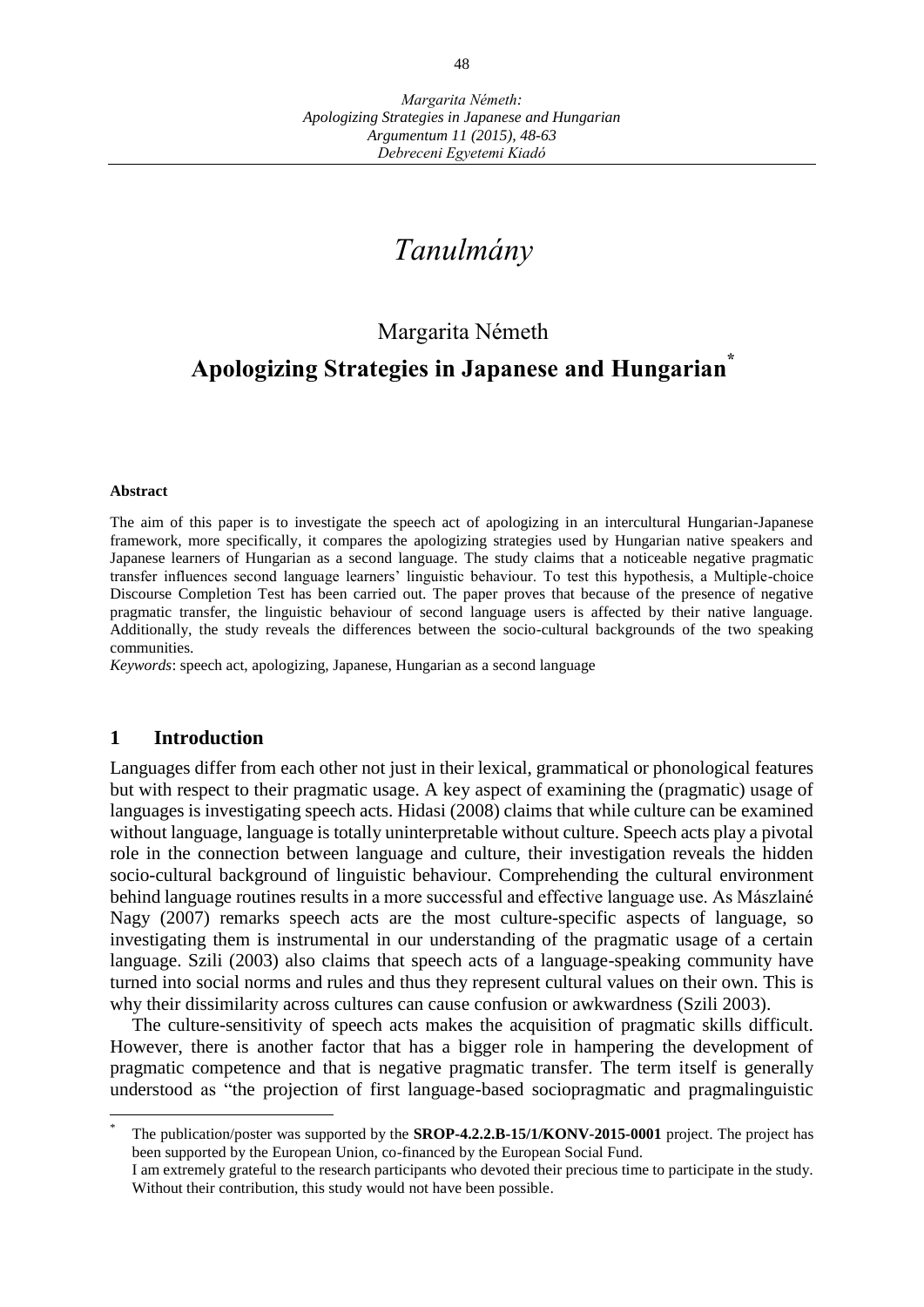# *Tanulmány*

# Margarita Németh

# **Apologizing Strategies in Japanese and Hungarian\***

#### **Abstract**

The aim of this paper is to investigate the speech act of apologizing in an intercultural Hungarian-Japanese framework, more specifically, it compares the apologizing strategies used by Hungarian native speakers and Japanese learners of Hungarian as a second language. The study claims that a noticeable negative pragmatic transfer influences second language learners' linguistic behaviour. To test this hypothesis, a Multiple-choice Discourse Completion Test has been carried out. The paper proves that because of the presence of negative pragmatic transfer, the linguistic behaviour of second language users is affected by their native language. Additionally, the study reveals the differences between the socio-cultural backgrounds of the two speaking communities.

*Keywords*: speech act, apologizing, Japanese, Hungarian as a second language

#### **1 Introduction**

 $\overline{a}$ 

Languages differ from each other not just in their lexical, grammatical or phonological features but with respect to their pragmatic usage. A key aspect of examining the (pragmatic) usage of languages is investigating speech acts. Hidasi (2008) claims that while culture can be examined without language, language is totally uninterpretable without culture. Speech acts play a pivotal role in the connection between language and culture, their investigation reveals the hidden socio-cultural background of linguistic behaviour. Comprehending the cultural environment behind language routines results in a more successful and effective language use. As Mászlainé Nagy (2007) remarks speech acts are the most culture-specific aspects of language, so investigating them is instrumental in our understanding of the pragmatic usage of a certain language. Szili (2003) also claims that speech acts of a language-speaking community have turned into social norms and rules and thus they represent cultural values on their own. This is why their dissimilarity across cultures can cause confusion or awkwardness (Szili 2003).

The culture-sensitivity of speech acts makes the acquisition of pragmatic skills difficult. However, there is another factor that has a bigger role in hampering the development of pragmatic competence and that is negative pragmatic transfer. The term itself is generally understood as "the projection of first language-based sociopragmatic and pragmalinguistic

<sup>\*</sup> The publication/poster was supported by the **SROP-4.2.2.B-15/1/KONV-2015-0001** project. The project has been supported by the European Union, co-financed by the European Social Fund.

I am extremely grateful to the research participants who devoted their precious time to participate in the study. Without their contribution, this study would not have been possible.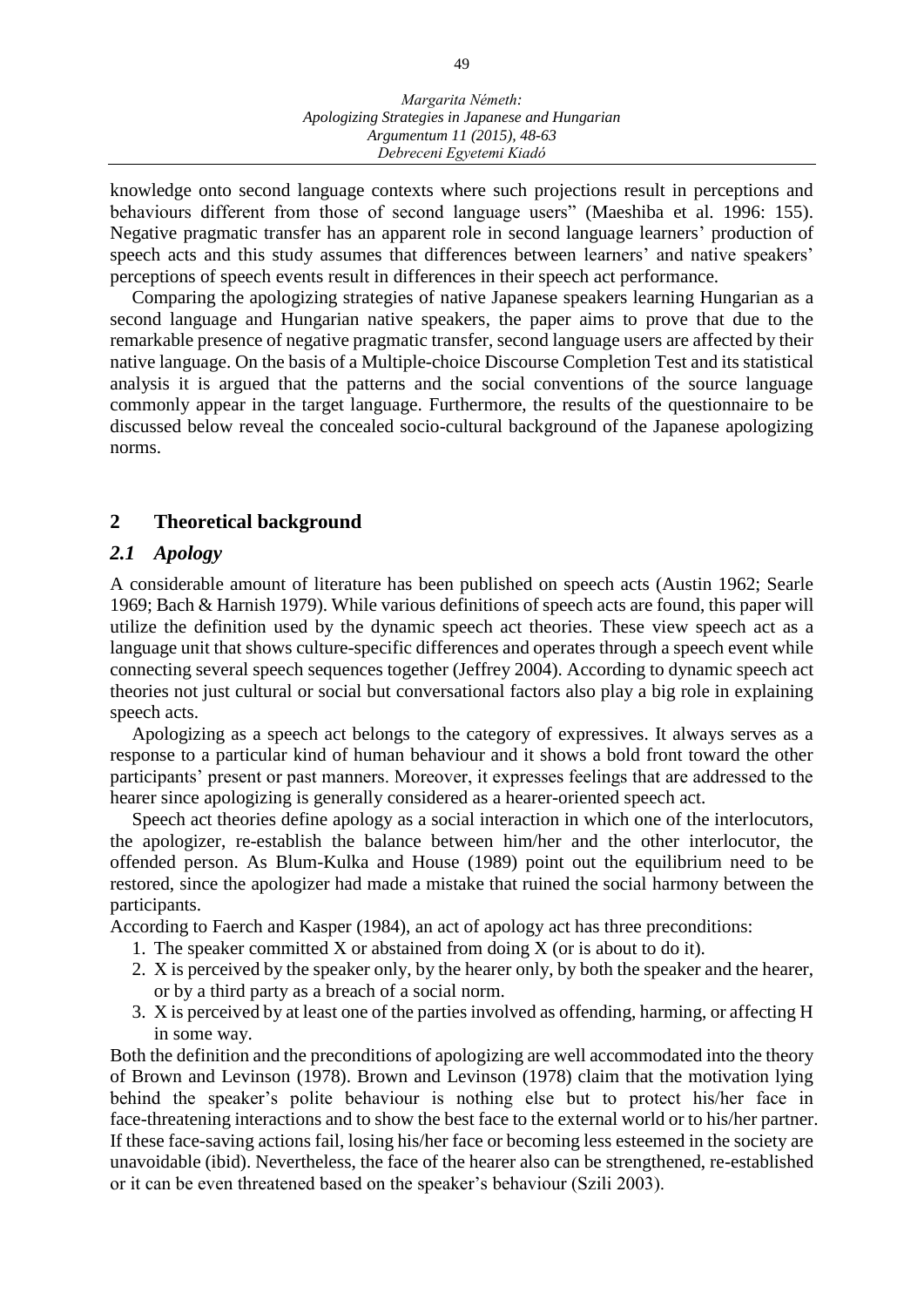knowledge onto second language contexts where such projections result in perceptions and behaviours different from those of second language users" (Maeshiba et al. 1996: 155). Negative pragmatic transfer has an apparent role in second language learners' production of speech acts and this study assumes that differences between learners' and native speakers' perceptions of speech events result in differences in their speech act performance.

Comparing the apologizing strategies of native Japanese speakers learning Hungarian as a second language and Hungarian native speakers, the paper aims to prove that due to the remarkable presence of negative pragmatic transfer, second language users are affected by their native language. On the basis of a Multiple-choice Discourse Completion Test and its statistical analysis it is argued that the patterns and the social conventions of the source language commonly appear in the target language. Furthermore, the results of the questionnaire to be discussed below reveal the concealed socio-cultural background of the Japanese apologizing norms.

# **2 Theoretical background**

## *2.1 Apology*

A considerable amount of literature has been published on speech acts (Austin 1962; Searle 1969; Bach & Harnish 1979). While various definitions of speech acts are found, this paper will utilize the definition used by the dynamic speech act theories. These view speech act as a language unit that shows culture-specific differences and operates through a speech event while connecting several speech sequences together (Jeffrey 2004). According to dynamic speech act theories not just cultural or social but conversational factors also play a big role in explaining speech acts.

Apologizing as a speech act belongs to the category of expressives. It always serves as a response to a particular kind of human behaviour and it shows a bold front toward the other participants' present or past manners. Moreover, it expresses feelings that are addressed to the hearer since apologizing is generally considered as a hearer-oriented speech act.

Speech act theories define apology as a social interaction in which one of the interlocutors, the apologizer, re-establish the balance between him/her and the other interlocutor, the offended person. As Blum-Kulka and House (1989) point out the equilibrium need to be restored, since the apologizer had made a mistake that ruined the social harmony between the participants.

According to Faerch and Kasper (1984), an act of apology act has three preconditions:

- 1. The speaker committed X or abstained from doing X (or is about to do it).
- 2. X is perceived by the speaker only, by the hearer only, by both the speaker and the hearer, or by a third party as a breach of a social norm.
- 3. X is perceived by at least one of the parties involved as offending, harming, or affecting H in some way.

Both the definition and the preconditions of apologizing are well accommodated into the theory of Brown and Levinson (1978). Brown and Levinson (1978) claim that the motivation lying behind the speaker's polite behaviour is nothing else but to protect his/her face in face-threatening interactions and to show the best face to the external world or to his/her partner. If these face-saving actions fail, losing his/her face or becoming less esteemed in the society are unavoidable (ibid). Nevertheless, the face of the hearer also can be strengthened, re-established or it can be even threatened based on the speaker's behaviour (Szili 2003).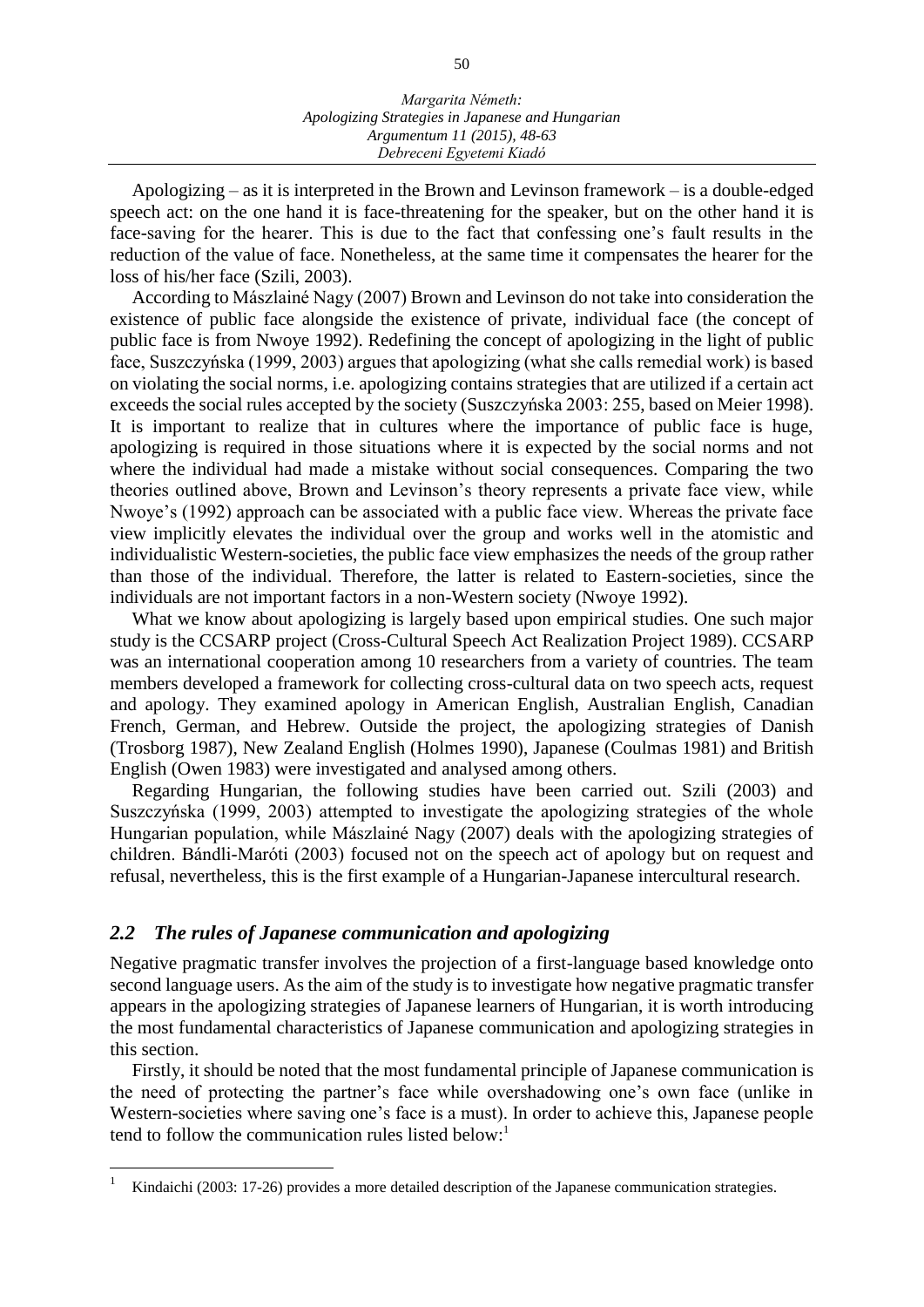#### *Margarita Németh: Apologizing Strategies in Japanese and Hungarian Argumentum 11 (2015), 48-63 Debreceni Egyetemi Kiadó*

Apologizing  $-$  as it is interpreted in the Brown and Levinson framework  $-$  is a double-edged speech act: on the one hand it is face-threatening for the speaker, but on the other hand it is face-saving for the hearer. This is due to the fact that confessing one's fault results in the reduction of the value of face. Nonetheless, at the same time it compensates the hearer for the loss of his/her face (Szili, 2003).

According to Mászlainé Nagy (2007) Brown and Levinson do not take into consideration the existence of public face alongside the existence of private, individual face (the concept of public face is from Nwoye 1992). Redefining the concept of apologizing in the light of public face, Suszczyńska (1999, 2003) argues that apologizing (what she calls remedial work) is based on violating the social norms, i.e. apologizing contains strategies that are utilized if a certain act exceeds the social rules accepted by the society (Suszczyńska 2003: 255, based on Meier 1998). It is important to realize that in cultures where the importance of public face is huge, apologizing is required in those situations where it is expected by the social norms and not where the individual had made a mistake without social consequences. Comparing the two theories outlined above, Brown and Levinson's theory represents a private face view, while Nwoye's (1992) approach can be associated with a public face view. Whereas the private face view implicitly elevates the individual over the group and works well in the atomistic and individualistic Western-societies, the public face view emphasizes the needs of the group rather than those of the individual. Therefore, the latter is related to Eastern-societies, since the individuals are not important factors in a non-Western society (Nwoye 1992).

What we know about apologizing is largely based upon empirical studies. One such major study is the CCSARP project (Cross-Cultural Speech Act Realization Project 1989). CCSARP was an international cooperation among 10 researchers from a variety of countries. The team members developed a framework for collecting cross-cultural data on two speech acts, request and apology. They examined apology in American English, Australian English, Canadian French, German, and Hebrew. Outside the project, the apologizing strategies of Danish (Trosborg 1987), New Zealand English (Holmes 1990), Japanese (Coulmas 1981) and British English (Owen 1983) were investigated and analysed among others.

Regarding Hungarian, the following studies have been carried out. Szili (2003) and Suszczyńska (1999, 2003) attempted to investigate the apologizing strategies of the whole Hungarian population, while Mászlainé Nagy (2007) deals with the apologizing strategies of children. Bándli-Maróti (2003) focused not on the speech act of apology but on request and refusal, nevertheless, this is the first example of a Hungarian-Japanese intercultural research.

## *2.2 The rules of Japanese communication and apologizing*

 $\overline{a}$ 

Negative pragmatic transfer involves the projection of a first-language based knowledge onto second language users. As the aim of the study is to investigate how negative pragmatic transfer appears in the apologizing strategies of Japanese learners of Hungarian, it is worth introducing the most fundamental characteristics of Japanese communication and apologizing strategies in this section.

Firstly, it should be noted that the most fundamental principle of Japanese communication is the need of protecting the partner's face while overshadowing one's own face (unlike in Western-societies where saving one's face is a must). In order to achieve this, Japanese people tend to follow the communication rules listed below: 1

<sup>1</sup> Kindaichi (2003: 17-26) provides a more detailed description of the Japanese communication strategies.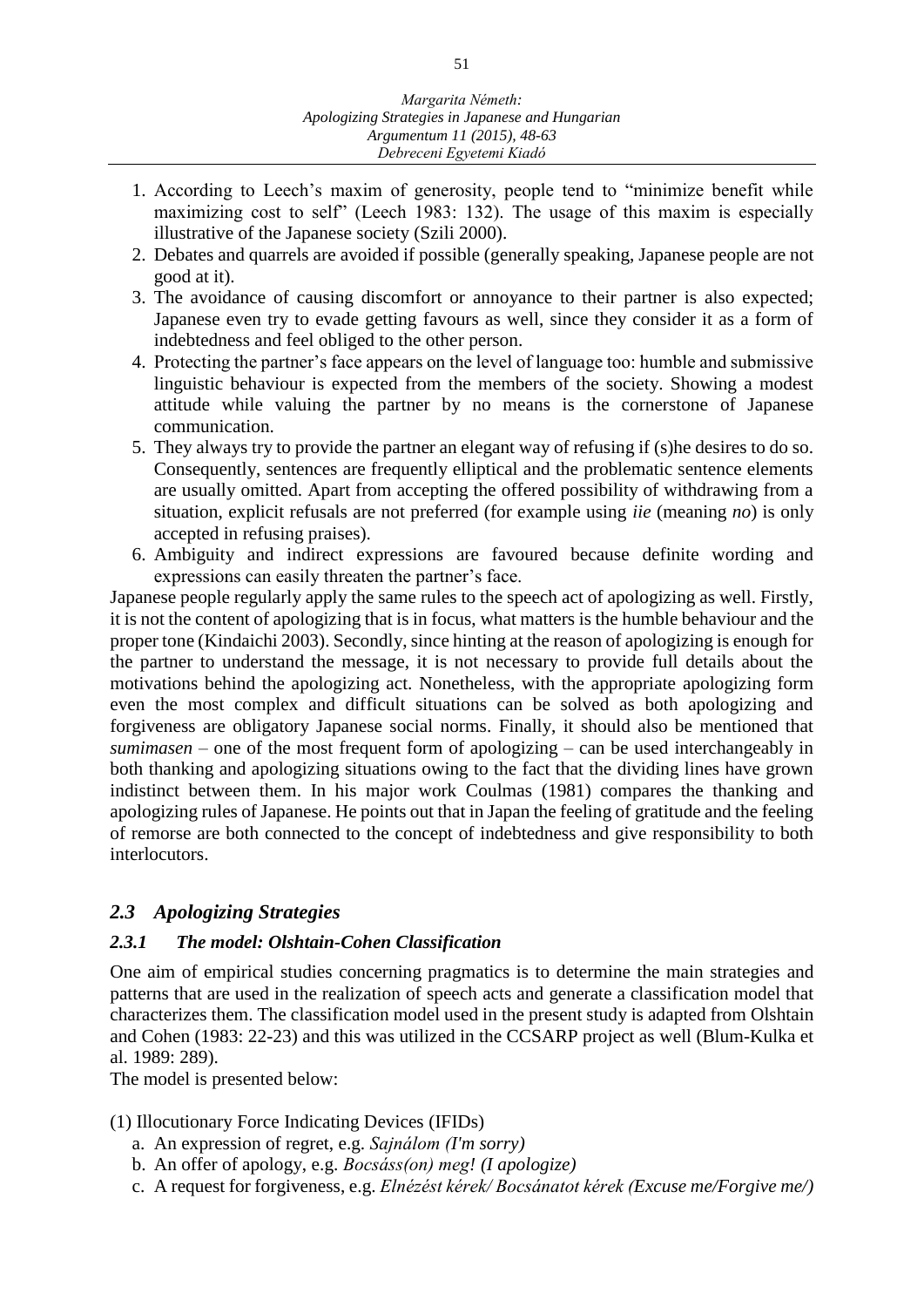- 1. According to Leech's maxim of generosity, people tend to "minimize benefit while maximizing cost to self" (Leech 1983: 132). The usage of this maxim is especially illustrative of the Japanese society (Szili 2000).
- 2. Debates and quarrels are avoided if possible (generally speaking, Japanese people are not good at it).
- 3. The avoidance of causing discomfort or annoyance to their partner is also expected; Japanese even try to evade getting favours as well, since they consider it as a form of indebtedness and feel obliged to the other person.
- 4. Protecting the partner's face appears on the level of language too: humble and submissive linguistic behaviour is expected from the members of the society. Showing a modest attitude while valuing the partner by no means is the cornerstone of Japanese communication.
- 5. They always try to provide the partner an elegant way of refusing if (s)he desires to do so. Consequently, sentences are frequently elliptical and the problematic sentence elements are usually omitted. Apart from accepting the offered possibility of withdrawing from a situation, explicit refusals are not preferred (for example using *iie* (meaning *no*) is only accepted in refusing praises).
- 6. Ambiguity and indirect expressions are favoured because definite wording and expressions can easily threaten the partner's face.

Japanese people regularly apply the same rules to the speech act of apologizing as well. Firstly, it is not the content of apologizing that is in focus, what matters is the humble behaviour and the proper tone (Kindaichi 2003). Secondly, since hinting at the reason of apologizing is enough for the partner to understand the message, it is not necessary to provide full details about the motivations behind the apologizing act. Nonetheless, with the appropriate apologizing form even the most complex and difficult situations can be solved as both apologizing and forgiveness are obligatory Japanese social norms. Finally, it should also be mentioned that *sumimasen* – one of the most frequent form of apologizing – can be used interchangeably in both thanking and apologizing situations owing to the fact that the dividing lines have grown indistinct between them. In his major work Coulmas (1981) compares the thanking and apologizing rules of Japanese. He points out that in Japan the feeling of gratitude and the feeling of remorse are both connected to the concept of indebtedness and give responsibility to both interlocutors.

# *2.3 Apologizing Strategies*

## *2.3.1 The model: Olshtain-Cohen Classification*

One aim of empirical studies concerning pragmatics is to determine the main strategies and patterns that are used in the realization of speech acts and generate a classification model that characterizes them. The classification model used in the present study is adapted from Olshtain and Cohen (1983: 22-23) and this was utilized in the CCSARP project as well (Blum-Kulka et al. 1989: 289).

The model is presented below:

## (1) Illocutionary Force Indicating Devices (IFIDs)

- a. An expression of regret, e.g. *Sajnálom (I'm sorry)*
- b. An offer of apology, e.g. *Bocsáss(on) meg! (I apologize)*
- c. A request for forgiveness, e.g. *Elnézést kérek/ Bocsánatot kérek (Excuse me/Forgive me/)*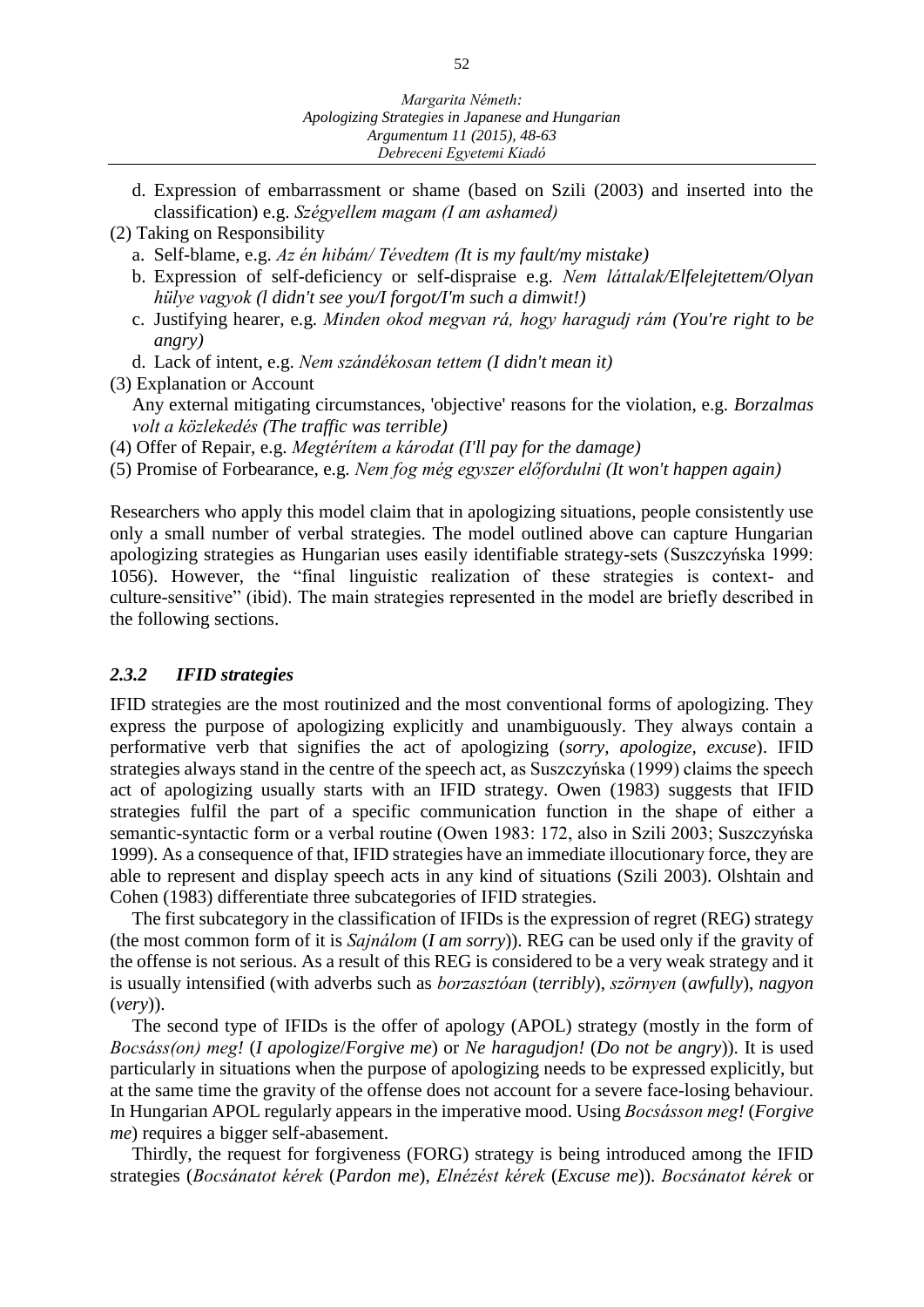- d. Expression of embarrassment or shame (based on Szili (2003) and inserted into the classification) e.g. *Szégyellem magam (I am ashamed)*
- (2) Taking on Responsibility
	- a. Self-blame, e.g. *Az én hibám/ Tévedtem (It is my fault/my mistake)*
	- b. Expression of self-deficiency or self-dispraise e.g. *Nem láttalak/Elfelejtettem/Olyan hülye vagyok (l didn't see you/I forgot/I'm such a dimwit!)*
	- c. Justifying hearer, e.g. *Minden okod megvan rá, hogy haragudj rám (You're right to be angry)*
	- d. Lack of intent, e.g. *Nem szándékosan tettem (I didn't mean it)*

(3) Explanation or Account

Any external mitigating circumstances, 'objective' reasons for the violation, e.g. *Borzalmas volt a közlekedés (The traffic was terrible)*

(4) Offer of Repair, e.g. *Megtérítem a károdat (I'll pay for the damage)*

(5) Promise of Forbearance, e.g*. Nem fog még egyszer előfordulni (It won't happen again)*

Researchers who apply this model claim that in apologizing situations, people consistently use only a small number of verbal strategies. The model outlined above can capture Hungarian apologizing strategies as Hungarian uses easily identifiable strategy-sets (Suszczyńska 1999: 1056). However, the "final linguistic realization of these strategies is context- and culture-sensitive" (ibid). The main strategies represented in the model are briefly described in the following sections.

#### *2.3.2 IFID strategies*

IFID strategies are the most routinized and the most conventional forms of apologizing. They express the purpose of apologizing explicitly and unambiguously. They always contain a performative verb that signifies the act of apologizing (*sorry, apologize, excuse*). IFID strategies always stand in the centre of the speech act, as Suszczyńska (1999) claims the speech act of apologizing usually starts with an IFID strategy. Owen (1983) suggests that IFID strategies fulfil the part of a specific communication function in the shape of either a semantic-syntactic form or a verbal routine (Owen 1983: 172, also in Szili 2003; Suszczyńska 1999). As a consequence of that, IFID strategies have an immediate illocutionary force, they are able to represent and display speech acts in any kind of situations (Szili 2003). Olshtain and Cohen (1983) differentiate three subcategories of IFID strategies.

The first subcategory in the classification of IFIDs is the expression of regret (REG) strategy (the most common form of it is *Sajnálom* (*I am sorry*)). REG can be used only if the gravity of the offense is not serious. As a result of this REG is considered to be a very weak strategy and it is usually intensified (with adverbs such as *borzasztóan* (*terribly*), *szörnyen* (*awfully*), *nagyon* (*very*)).

The second type of IFIDs is the offer of apology (APOL) strategy (mostly in the form of *Bocsáss(on) meg!* (*I apologize*/*Forgive me*) or *Ne haragudjon!* (*Do not be angry*)). It is used particularly in situations when the purpose of apologizing needs to be expressed explicitly, but at the same time the gravity of the offense does not account for a severe face-losing behaviour. In Hungarian APOL regularly appears in the imperative mood. Using *Bocsásson meg!* (*Forgive me*) requires a bigger self-abasement.

Thirdly, the request for forgiveness (FORG) strategy is being introduced among the IFID strategies (*Bocsánatot kérek* (*Pardon me*), *Elnézést kérek* (*Excuse me*)). *Bocsánatot kérek* or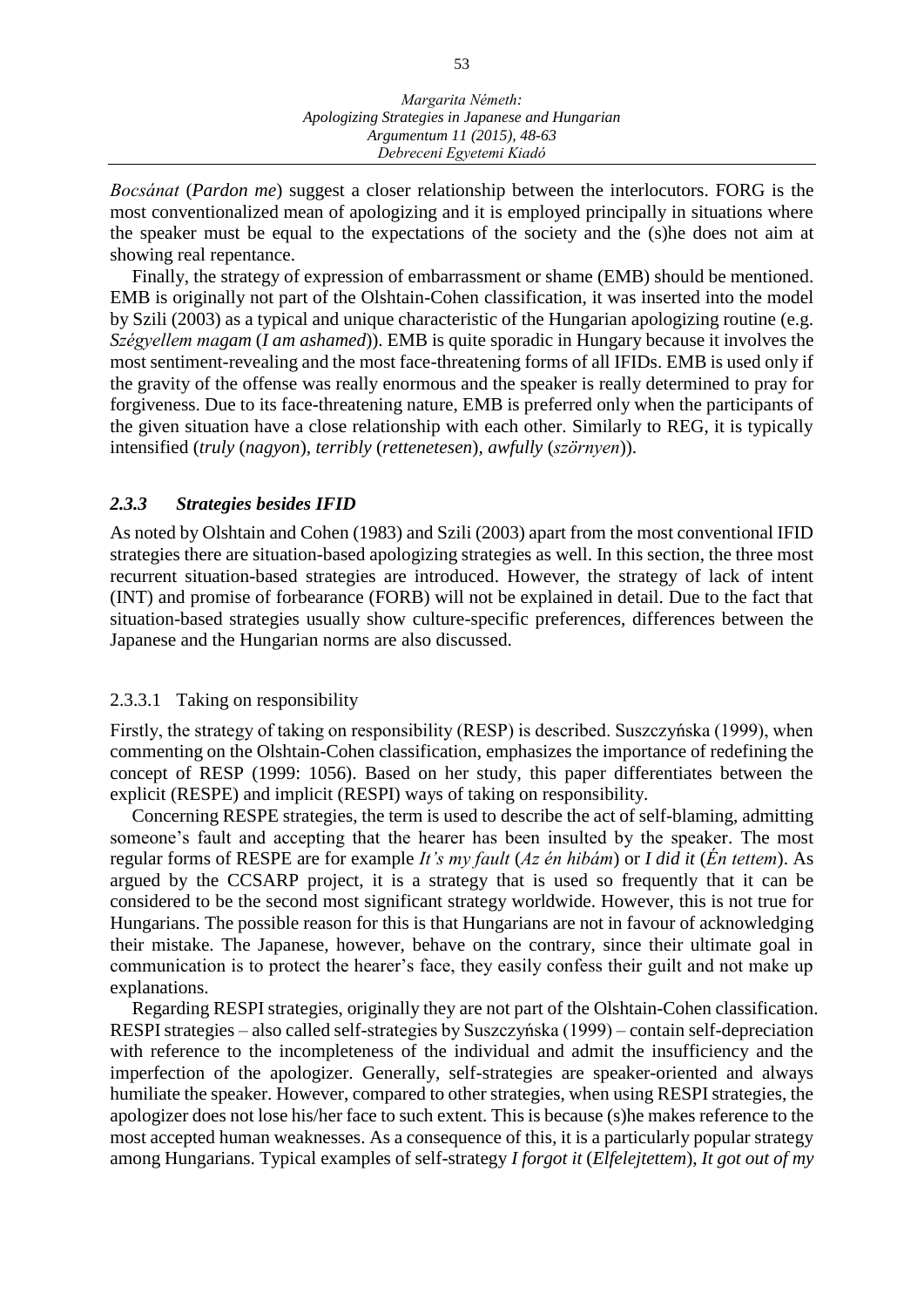*Bocsánat* (*Pardon me*) suggest a closer relationship between the interlocutors. FORG is the most conventionalized mean of apologizing and it is employed principally in situations where the speaker must be equal to the expectations of the society and the (s)he does not aim at showing real repentance.

Finally, the strategy of expression of embarrassment or shame (EMB) should be mentioned. EMB is originally not part of the Olshtain-Cohen classification, it was inserted into the model by Szili (2003) as a typical and unique characteristic of the Hungarian apologizing routine (e.g. *Szégyellem magam* (*I am ashamed*)). EMB is quite sporadic in Hungary because it involves the most sentiment-revealing and the most face-threatening forms of all IFIDs. EMB is used only if the gravity of the offense was really enormous and the speaker is really determined to pray for forgiveness. Due to its face-threatening nature, EMB is preferred only when the participants of the given situation have a close relationship with each other. Similarly to REG, it is typically intensified (*truly* (*nagyon*)*, terribly* (*rettenetesen*)*, awfully* (*szörnyen*)).

## *2.3.3 Strategies besides IFID*

As noted by Olshtain and Cohen (1983) and Szili (2003) apart from the most conventional IFID strategies there are situation-based apologizing strategies as well. In this section, the three most recurrent situation-based strategies are introduced. However, the strategy of lack of intent (INT) and promise of forbearance (FORB) will not be explained in detail. Due to the fact that situation-based strategies usually show culture-specific preferences, differences between the Japanese and the Hungarian norms are also discussed.

#### 2.3.3.1 Taking on responsibility

Firstly, the strategy of taking on responsibility (RESP) is described. Suszczyńska (1999), when commenting on the Olshtain-Cohen classification, emphasizes the importance of redefining the concept of RESP (1999: 1056). Based on her study, this paper differentiates between the explicit (RESPE) and implicit (RESPI) ways of taking on responsibility.

Concerning RESPE strategies, the term is used to describe the act of self-blaming, admitting someone's fault and accepting that the hearer has been insulted by the speaker. The most regular forms of RESPE are for example *It's my fault* (*Az én hibám*) or *I did it* (*Én tettem*). As argued by the CCSARP project, it is a strategy that is used so frequently that it can be considered to be the second most significant strategy worldwide. However, this is not true for Hungarians. The possible reason for this is that Hungarians are not in favour of acknowledging their mistake. The Japanese, however, behave on the contrary, since their ultimate goal in communication is to protect the hearer's face, they easily confess their guilt and not make up explanations.

Regarding RESPI strategies, originally they are not part of the Olshtain-Cohen classification. RESPI strategies – also called self-strategies by Suszczyńska (1999) – contain self-depreciation with reference to the incompleteness of the individual and admit the insufficiency and the imperfection of the apologizer. Generally, self-strategies are speaker-oriented and always humiliate the speaker. However, compared to other strategies, when using RESPI strategies, the apologizer does not lose his/her face to such extent. This is because (s)he makes reference to the most accepted human weaknesses. As a consequence of this, it is a particularly popular strategy among Hungarians. Typical examples of self-strategy *I forgot it* (*Elfelejtettem*), *It got out of my*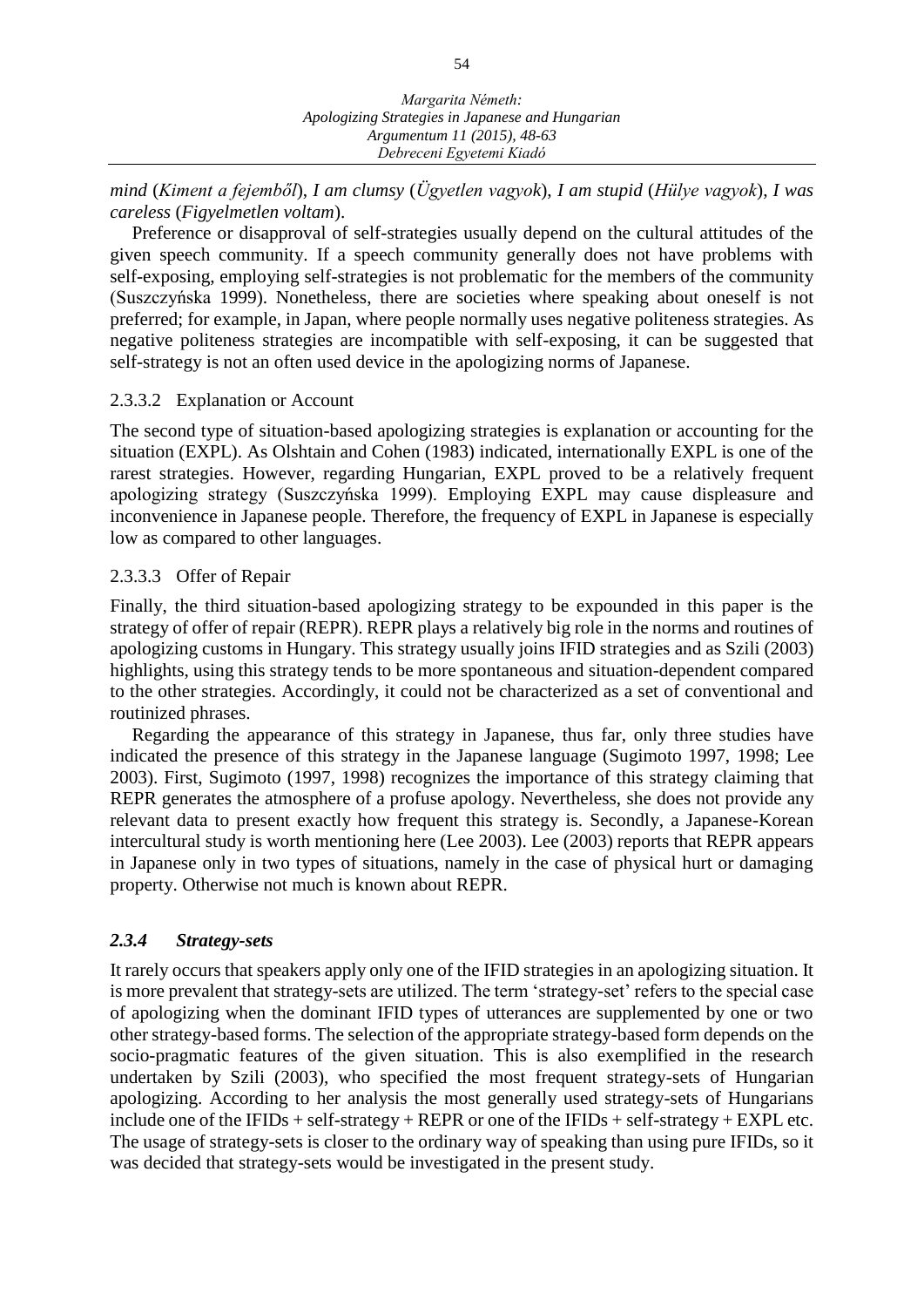*mind* (*Kiment a fejemből*), *I am clumsy* (*Ügyetlen vagyok*), *I am stupid* (*Hülye vagyok*), *I was careless* (*Figyelmetlen voltam*).

Preference or disapproval of self-strategies usually depend on the cultural attitudes of the given speech community. If a speech community generally does not have problems with self-exposing, employing self-strategies is not problematic for the members of the community (Suszczyńska 1999). Nonetheless, there are societies where speaking about oneself is not preferred; for example, in Japan, where people normally uses negative politeness strategies. As negative politeness strategies are incompatible with self-exposing, it can be suggested that self-strategy is not an often used device in the apologizing norms of Japanese.

## 2.3.3.2 Explanation or Account

The second type of situation-based apologizing strategies is explanation or accounting for the situation (EXPL). As Olshtain and Cohen (1983) indicated, internationally EXPL is one of the rarest strategies. However, regarding Hungarian, EXPL proved to be a relatively frequent apologizing strategy (Suszczyńska 1999). Employing EXPL may cause displeasure and inconvenience in Japanese people. Therefore, the frequency of EXPL in Japanese is especially low as compared to other languages.

## 2.3.3.3 Offer of Repair

Finally, the third situation-based apologizing strategy to be expounded in this paper is the strategy of offer of repair (REPR). REPR plays a relatively big role in the norms and routines of apologizing customs in Hungary. This strategy usually joins IFID strategies and as Szili (2003) highlights, using this strategy tends to be more spontaneous and situation-dependent compared to the other strategies. Accordingly, it could not be characterized as a set of conventional and routinized phrases.

Regarding the appearance of this strategy in Japanese, thus far, only three studies have indicated the presence of this strategy in the Japanese language (Sugimoto 1997, 1998; Lee 2003). First, Sugimoto (1997, 1998) recognizes the importance of this strategy claiming that REPR generates the atmosphere of a profuse apology. Nevertheless, she does not provide any relevant data to present exactly how frequent this strategy is. Secondly, a Japanese-Korean intercultural study is worth mentioning here (Lee 2003). Lee (2003) reports that REPR appears in Japanese only in two types of situations, namely in the case of physical hurt or damaging property. Otherwise not much is known about REPR.

## *2.3.4 Strategy-sets*

It rarely occurs that speakers apply only one of the IFID strategies in an apologizing situation. It is more prevalent that strategy-sets are utilized. The term 'strategy-set' refers to the special case of apologizing when the dominant IFID types of utterances are supplemented by one or two other strategy-based forms. The selection of the appropriate strategy-based form depends on the socio-pragmatic features of the given situation. This is also exemplified in the research undertaken by Szili (2003), who specified the most frequent strategy-sets of Hungarian apologizing. According to her analysis the most generally used strategy-sets of Hungarians include one of the IFIDs + self-strategy + REPR or one of the IFIDs + self-strategy + EXPL etc. The usage of strategy-sets is closer to the ordinary way of speaking than using pure IFIDs, so it was decided that strategy-sets would be investigated in the present study.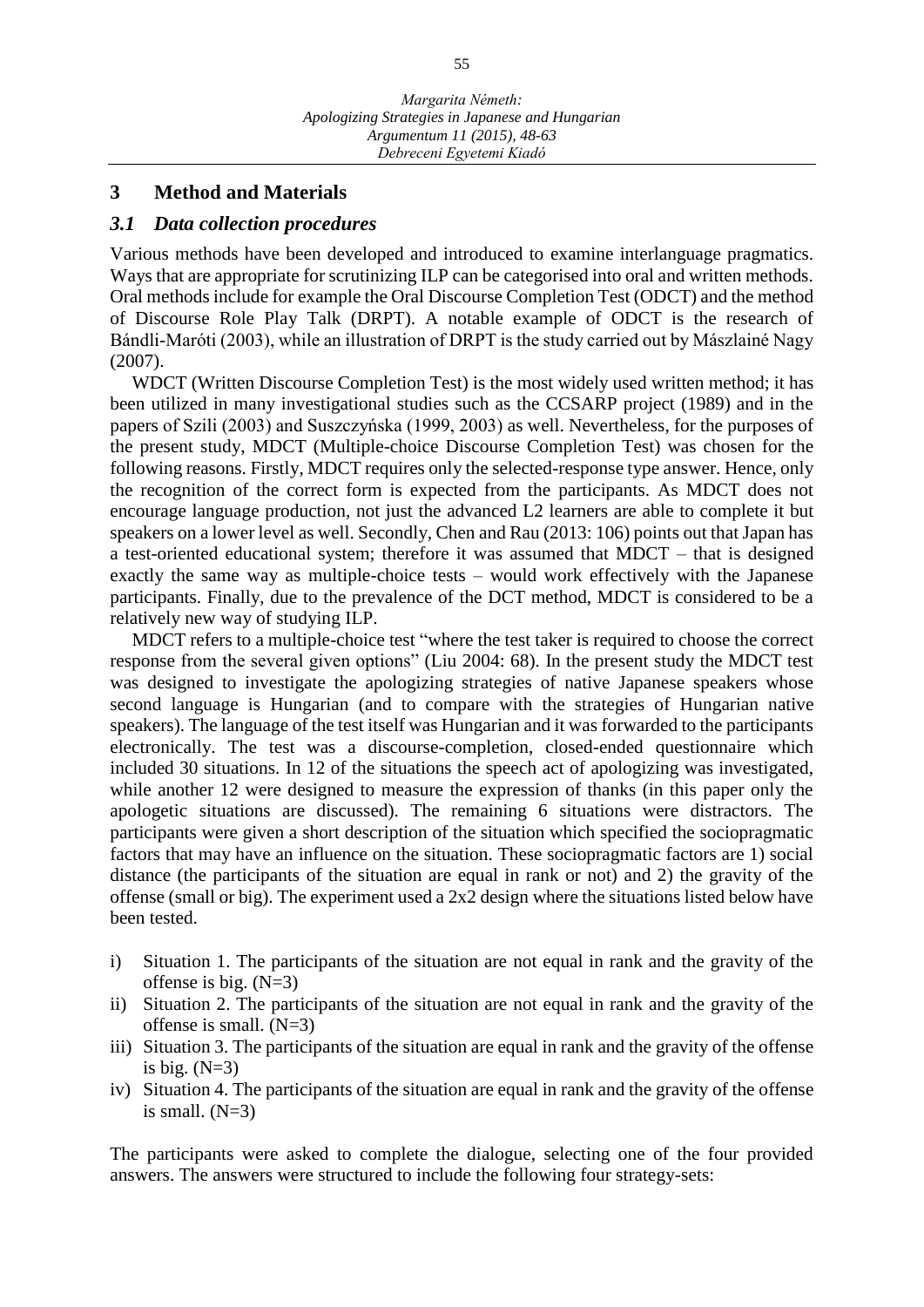#### **3 Method and Materials**

#### *3.1 Data collection procedures*

Various methods have been developed and introduced to examine interlanguage pragmatics. Ways that are appropriate for scrutinizing ILP can be categorised into oral and written methods. Oral methods include for example the Oral Discourse Completion Test (ODCT) and the method of Discourse Role Play Talk (DRPT). A notable example of ODCT is the research of Bándli-Maróti (2003), while an illustration of DRPT is the study carried out by Mászlainé Nagy (2007).

WDCT (Written Discourse Completion Test) is the most widely used written method; it has been utilized in many investigational studies such as the CCSARP project (1989) and in the papers of Szili (2003) and Suszczyńska (1999, 2003) as well. Nevertheless, for the purposes of the present study, MDCT (Multiple-choice Discourse Completion Test) was chosen for the following reasons. Firstly, MDCT requires only the selected-response type answer. Hence, only the recognition of the correct form is expected from the participants. As MDCT does not encourage language production, not just the advanced L2 learners are able to complete it but speakers on a lower level as well. Secondly, Chen and Rau (2013: 106) points out that Japan has a test-oriented educational system; therefore it was assumed that MDCT  $-$  that is designed exactly the same way as multiple-choice tests – would work effectively with the Japanese participants. Finally, due to the prevalence of the DCT method, MDCT is considered to be a relatively new way of studying ILP.

MDCT refers to a multiple-choice test "where the test taker is required to choose the correct response from the several given options" (Liu 2004: 68). In the present study the MDCT test was designed to investigate the apologizing strategies of native Japanese speakers whose second language is Hungarian (and to compare with the strategies of Hungarian native speakers). The language of the test itself was Hungarian and it was forwarded to the participants electronically. The test was a discourse-completion, closed-ended questionnaire which included 30 situations. In 12 of the situations the speech act of apologizing was investigated, while another 12 were designed to measure the expression of thanks (in this paper only the apologetic situations are discussed). The remaining 6 situations were distractors. The participants were given a short description of the situation which specified the sociopragmatic factors that may have an influence on the situation. These sociopragmatic factors are 1) social distance (the participants of the situation are equal in rank or not) and 2) the gravity of the offense (small or big). The experiment used a 2x2 design where the situations listed below have been tested.

- i) Situation 1. The participants of the situation are not equal in rank and the gravity of the offense is big.  $(N=3)$
- ii) Situation 2. The participants of the situation are not equal in rank and the gravity of the offense is small.  $(N=3)$
- iii) Situation 3. The participants of the situation are equal in rank and the gravity of the offense is big.  $(N=3)$
- iv) Situation 4. The participants of the situation are equal in rank and the gravity of the offense is small.  $(N=3)$

The participants were asked to complete the dialogue, selecting one of the four provided answers. The answers were structured to include the following four strategy-sets: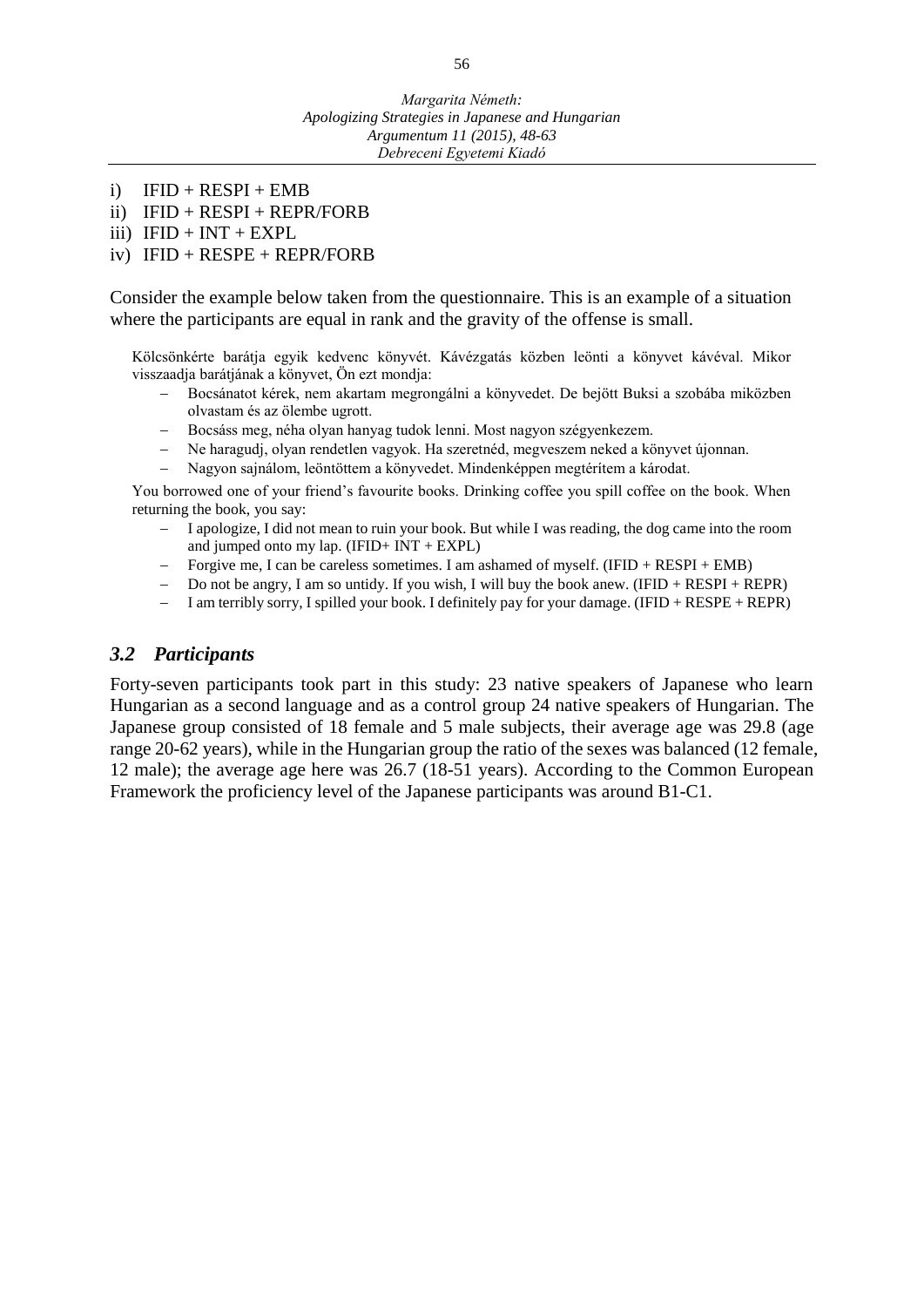- i)  $IFID + RESPI + EMB$
- ii) IFID + RESPI + REPR/FORB
- iii)  $IFID + INT + EXPL$
- iv) IFID + RESPE + REPR/FORB

Consider the example below taken from the questionnaire. This is an example of a situation where the participants are equal in rank and the gravity of the offense is small.

Kölcsönkérte barátja egyik kedvenc könyvét. Kávézgatás közben leönti a könyvet kávéval. Mikor visszaadja barátjának a könyvet, Ön ezt mondja:

- Bocsánatot kérek, nem akartam megrongálni a könyvedet. De bejött Buksi a szobába miközben olvastam és az ölembe ugrott.
- Bocsáss meg, néha olyan hanyag tudok lenni. Most nagyon szégyenkezem.
- Ne haragudj, olyan rendetlen vagyok. Ha szeretnéd, megveszem neked a könyvet újonnan.
- Nagyon sajnálom, leöntöttem a könyvedet. Mindenképpen megtérítem a károdat.

You borrowed one of your friend's favourite books. Drinking coffee you spill coffee on the book. When returning the book, you say:

- $-$  I apologize, I did not mean to ruin your book. But while I was reading, the dog came into the room and jumped onto my lap. (IFID+ INT + EXPL)
- $-$  Forgive me, I can be careless sometimes. I am ashamed of myself. (IFID + RESPI + EMB)
- $-$  Do not be angry, I am so untidy. If you wish, I will buy the book anew. (IFID + RESPI + REPR)
- $-$  I am terribly sorry, I spilled your book. I definitely pay for your damage. (IFID + RESPE + REPR)

#### *3.2 Participants*

Forty-seven participants took part in this study: 23 native speakers of Japanese who learn Hungarian as a second language and as a control group 24 native speakers of Hungarian. The Japanese group consisted of 18 female and 5 male subjects, their average age was 29.8 (age range 20-62 years), while in the Hungarian group the ratio of the sexes was balanced (12 female, 12 male); the average age here was 26.7 (18-51 years). According to the Common European Framework the proficiency level of the Japanese participants was around B1-C1.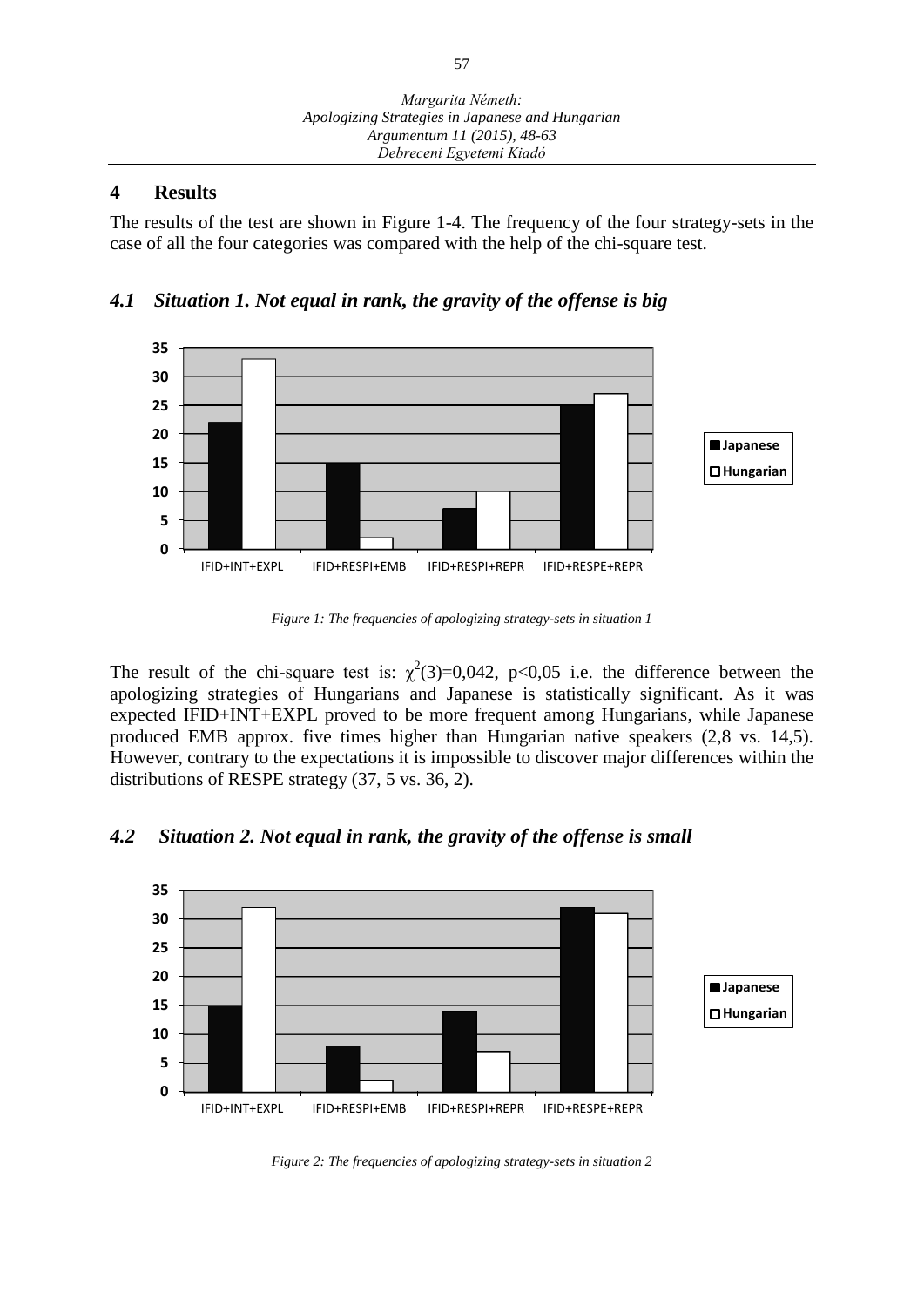## **4 Results**

The results of the test are shown in Figure 1-4. The frequency of the four strategy-sets in the case of all the four categories was compared with the help of the chi-square test.





*Figure 1: The frequencies of apologizing strategy-sets in situation 1*

The result of the chi-square test is:  $\chi^2(3)=0.042$ , p<0.05 i.e. the difference between the apologizing strategies of Hungarians and Japanese is statistically significant. As it was expected IFID+INT+EXPL proved to be more frequent among Hungarians, while Japanese produced EMB approx. five times higher than Hungarian native speakers (2,8 vs. 14,5). However, contrary to the expectations it is impossible to discover major differences within the distributions of RESPE strategy (37, 5 vs. 36, 2).

## *4.2 Situation 2. Not equal in rank, the gravity of the offense is small*



*Figure 2: The frequencies of apologizing strategy-sets in situation 2*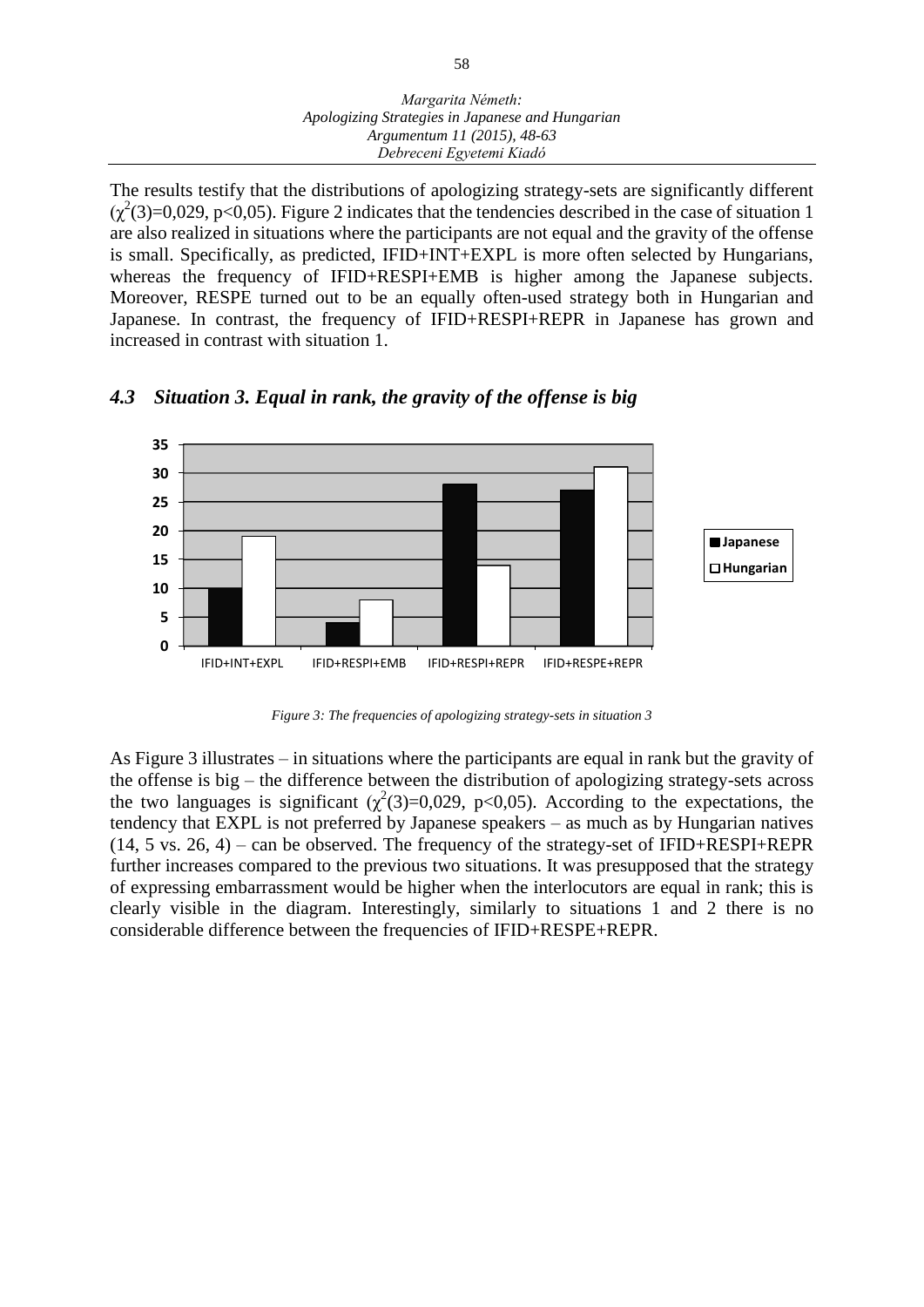#### *Margarita Németh: Apologizing Strategies in Japanese and Hungarian Argumentum 11 (2015), 48-63 Debreceni Egyetemi Kiadó*

The results testify that the distributions of apologizing strategy-sets are significantly different  $(\chi^2(3)=0.029, p<0.05)$ . Figure 2 indicates that the tendencies described in the case of situation 1 are also realized in situations where the participants are not equal and the gravity of the offense is small. Specifically, as predicted, IFID+INT+EXPL is more often selected by Hungarians, whereas the frequency of IFID+RESPI+EMB is higher among the Japanese subjects. Moreover, RESPE turned out to be an equally often-used strategy both in Hungarian and Japanese. In contrast, the frequency of IFID+RESPI+REPR in Japanese has grown and increased in contrast with situation 1.



*4.3 Situation 3. Equal in rank, the gravity of the offense is big*

*Figure 3: The frequencies of apologizing strategy-sets in situation 3*

As Figure 3 illustrates  $-\overline{\text{in}}$  situations where the participants are equal in rank but the gravity of the offense is  $big$  – the difference between the distribution of apologizing strategy-sets across the two languages is significant  $(\chi^2(3)=0.029, p<0.05)$ . According to the expectations, the tendency that EXPL is not preferred by Japanese speakers – as much as by Hungarian natives  $(14, 5 \text{ vs. } 26, 4)$  – can be observed. The frequency of the strategy-set of IFID+RESPI+REPR further increases compared to the previous two situations. It was presupposed that the strategy of expressing embarrassment would be higher when the interlocutors are equal in rank; this is clearly visible in the diagram. Interestingly, similarly to situations 1 and 2 there is no considerable difference between the frequencies of IFID+RESPE+REPR.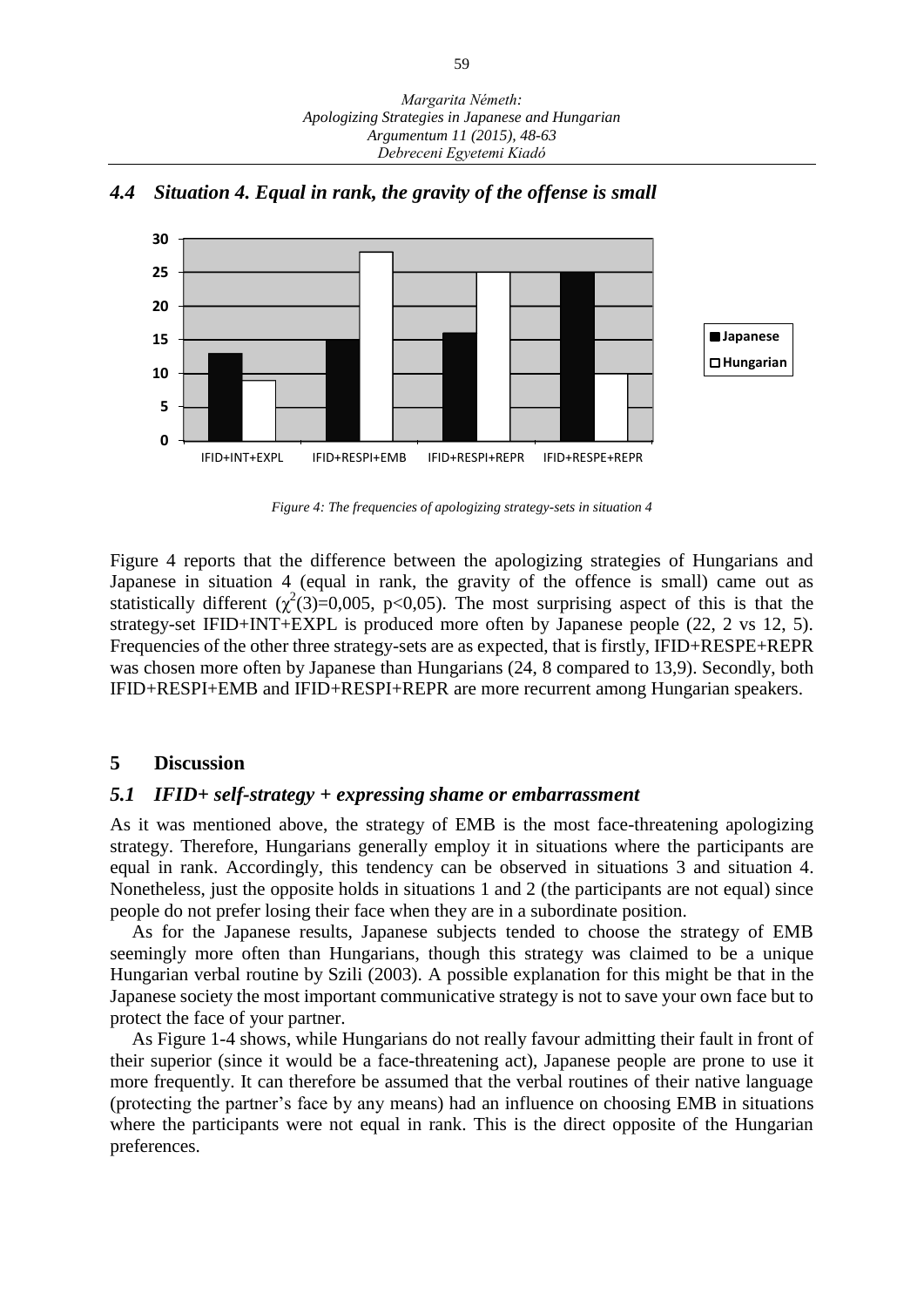

#### *4.4 Situation 4. Equal in rank, the gravity of the offense is small*

*Figure 4: The frequencies of apologizing strategy-sets in situation 4*

Figure 4 reports that the difference between the apologizing strategies of Hungarians and Japanese in situation 4 (equal in rank, the gravity of the offence is small) came out as statistically different  $(\chi^2(3)=0.005, p<0.05)$ . The most surprising aspect of this is that the strategy-set IFID+INT+EXPL is produced more often by Japanese people (22, 2 vs 12, 5). Frequencies of the other three strategy-sets are as expected, that is firstly, IFID+RESPE+REPR was chosen more often by Japanese than Hungarians (24, 8 compared to 13,9). Secondly, both IFID+RESPI+EMB and IFID+RESPI+REPR are more recurrent among Hungarian speakers.

## **5 Discussion**

## *5.1 IFID+ self-strategy + expressing shame or embarrassment*

As it was mentioned above, the strategy of EMB is the most face-threatening apologizing strategy. Therefore, Hungarians generally employ it in situations where the participants are equal in rank. Accordingly, this tendency can be observed in situations 3 and situation 4. Nonetheless, just the opposite holds in situations 1 and 2 (the participants are not equal) since people do not prefer losing their face when they are in a subordinate position.

As for the Japanese results, Japanese subjects tended to choose the strategy of EMB seemingly more often than Hungarians, though this strategy was claimed to be a unique Hungarian verbal routine by Szili (2003). A possible explanation for this might be that in the Japanese society the most important communicative strategy is not to save your own face but to protect the face of your partner.

As Figure 1-4 shows, while Hungarians do not really favour admitting their fault in front of their superior (since it would be a face-threatening act), Japanese people are prone to use it more frequently. It can therefore be assumed that the verbal routines of their native language (protecting the partner's face by any means) had an influence on choosing EMB in situations where the participants were not equal in rank. This is the direct opposite of the Hungarian preferences.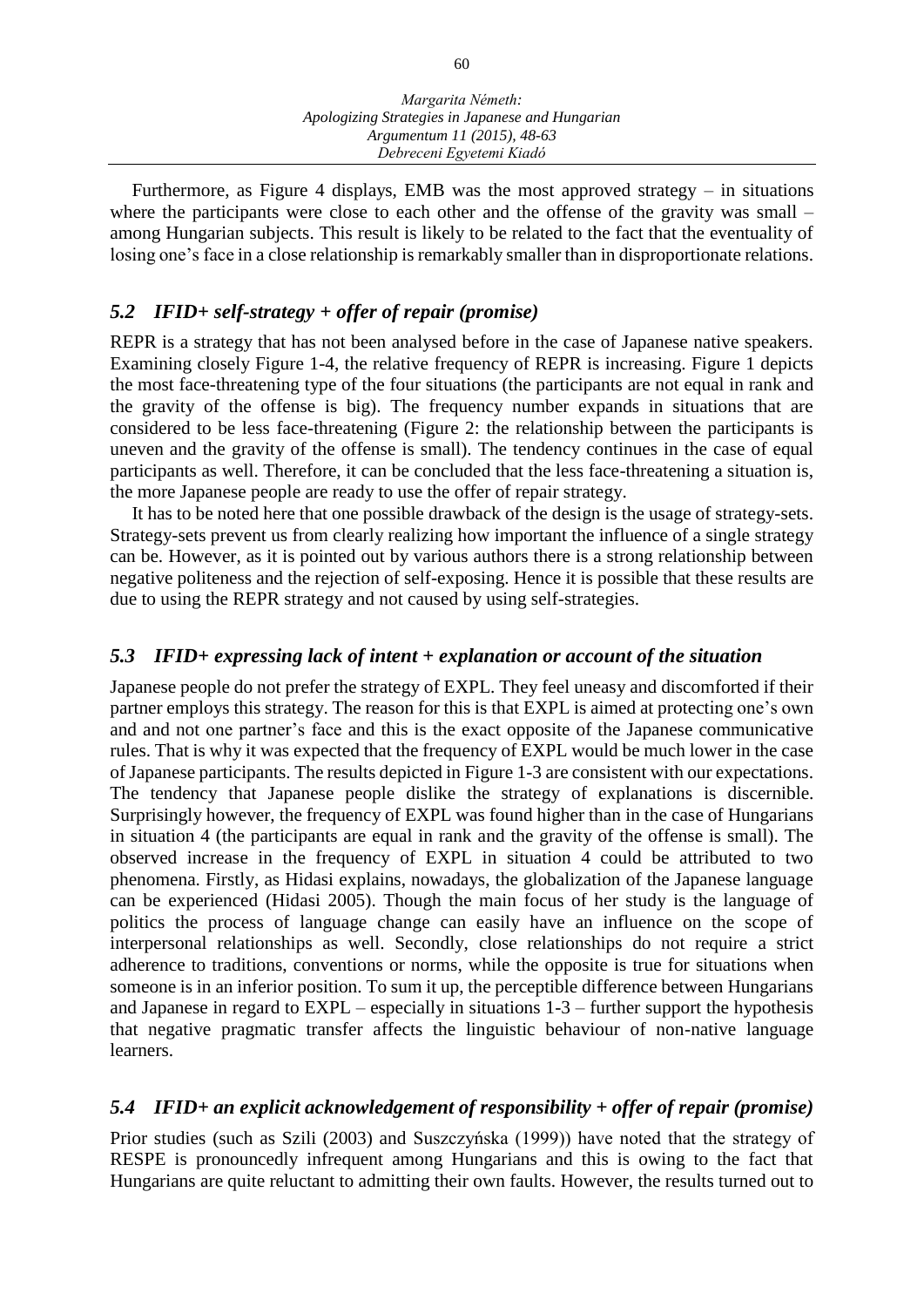Furthermore, as Figure 4 displays, EMB was the most approved strategy  $-$  in situations where the participants were close to each other and the offense of the gravity was small  $$ among Hungarian subjects. This result is likely to be related to the fact that the eventuality of losing one's face in a close relationship is remarkably smaller than in disproportionate relations.

## *5.2 IFID+ self-strategy + offer of repair (promise)*

REPR is a strategy that has not been analysed before in the case of Japanese native speakers. Examining closely Figure 1-4, the relative frequency of REPR is increasing. Figure 1 depicts the most face-threatening type of the four situations (the participants are not equal in rank and the gravity of the offense is big). The frequency number expands in situations that are considered to be less face-threatening (Figure 2: the relationship between the participants is uneven and the gravity of the offense is small). The tendency continues in the case of equal participants as well. Therefore, it can be concluded that the less face-threatening a situation is, the more Japanese people are ready to use the offer of repair strategy.

It has to be noted here that one possible drawback of the design is the usage of strategy-sets. Strategy-sets prevent us from clearly realizing how important the influence of a single strategy can be. However, as it is pointed out by various authors there is a strong relationship between negative politeness and the rejection of self-exposing. Hence it is possible that these results are due to using the REPR strategy and not caused by using self-strategies.

## *5.3 IFID+ expressing lack of intent + explanation or account of the situation*

Japanese people do not prefer the strategy of EXPL. They feel uneasy and discomforted if their partner employs this strategy. The reason for this is that EXPL is aimed at protecting one's own and and not one partner's face and this is the exact opposite of the Japanese communicative rules. That is why it was expected that the frequency of EXPL would be much lower in the case of Japanese participants. The results depicted in Figure 1-3 are consistent with our expectations. The tendency that Japanese people dislike the strategy of explanations is discernible. Surprisingly however, the frequency of EXPL was found higher than in the case of Hungarians in situation 4 (the participants are equal in rank and the gravity of the offense is small). The observed increase in the frequency of EXPL in situation 4 could be attributed to two phenomena. Firstly, as Hidasi explains, nowadays, the globalization of the Japanese language can be experienced (Hidasi 2005). Though the main focus of her study is the language of politics the process of language change can easily have an influence on the scope of interpersonal relationships as well. Secondly, close relationships do not require a strict adherence to traditions, conventions or norms, while the opposite is true for situations when someone is in an inferior position. To sum it up, the perceptible difference between Hungarians and Japanese in regard to  $EXPL$  – especially in situations  $1-3$  – further support the hypothesis that negative pragmatic transfer affects the linguistic behaviour of non-native language learners.

# *5.4 IFID+ an explicit acknowledgement of responsibility + offer of repair (promise)*

Prior studies (such as Szili (2003) and Suszczyńska (1999)) have noted that the strategy of RESPE is pronouncedly infrequent among Hungarians and this is owing to the fact that Hungarians are quite reluctant to admitting their own faults. However, the results turned out to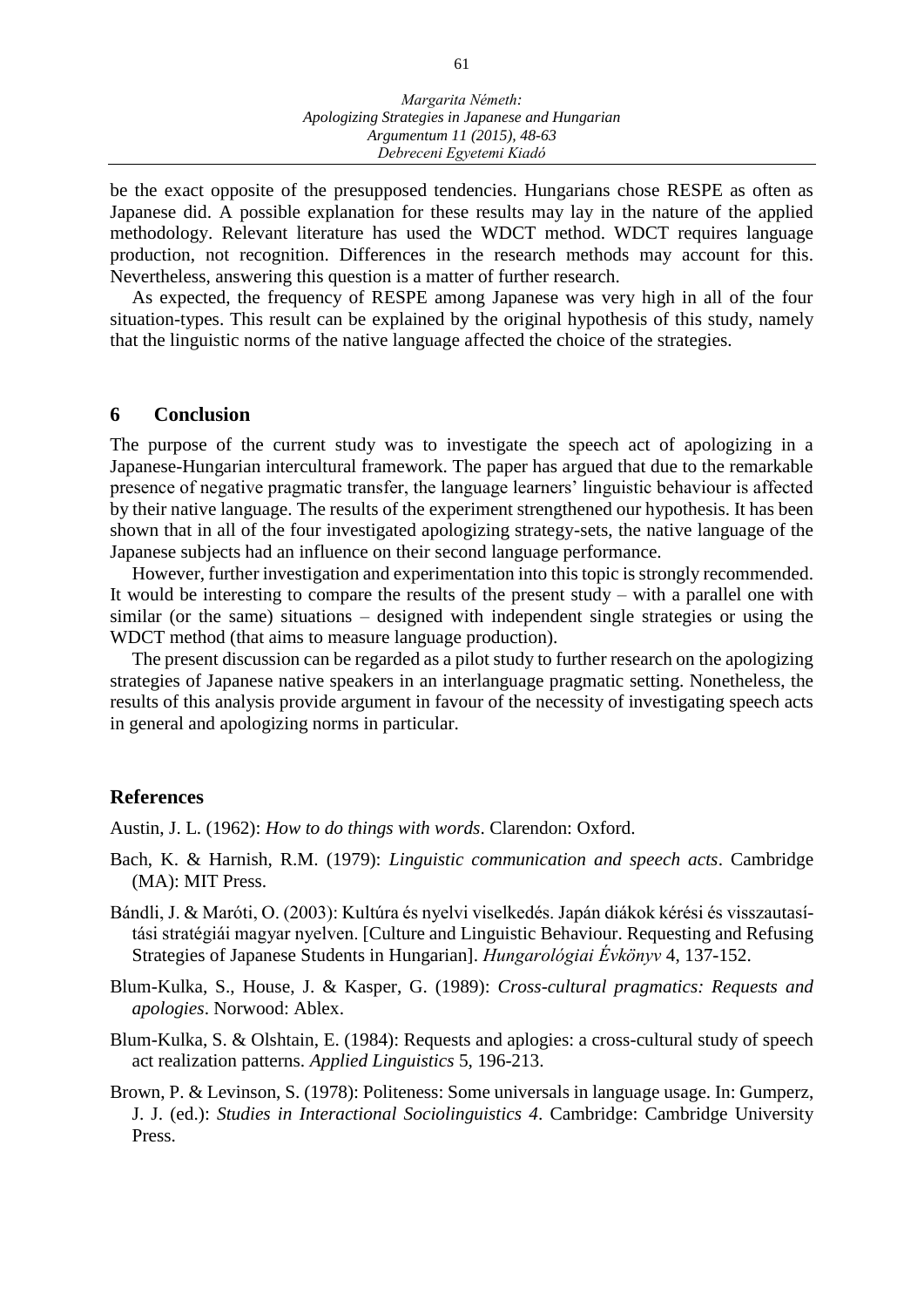be the exact opposite of the presupposed tendencies. Hungarians chose RESPE as often as Japanese did. A possible explanation for these results may lay in the nature of the applied methodology. Relevant literature has used the WDCT method. WDCT requires language production, not recognition. Differences in the research methods may account for this. Nevertheless, answering this question is a matter of further research.

As expected, the frequency of RESPE among Japanese was very high in all of the four situation-types. This result can be explained by the original hypothesis of this study, namely that the linguistic norms of the native language affected the choice of the strategies.

#### **6 Conclusion**

The purpose of the current study was to investigate the speech act of apologizing in a Japanese-Hungarian intercultural framework. The paper has argued that due to the remarkable presence of negative pragmatic transfer, the language learners' linguistic behaviour is affected by their native language. The results of the experiment strengthened our hypothesis. It has been shown that in all of the four investigated apologizing strategy-sets, the native language of the Japanese subjects had an influence on their second language performance.

However, further investigation and experimentation into this topic is strongly recommended. It would be interesting to compare the results of the present study  $-$  with a parallel one with  $s$ imilar (or the same) situations  $-$  designed with independent single strategies or using the WDCT method (that aims to measure language production).

The present discussion can be regarded as a pilot study to further research on the apologizing strategies of Japanese native speakers in an interlanguage pragmatic setting. Nonetheless, the results of this analysis provide argument in favour of the necessity of investigating speech acts in general and apologizing norms in particular.

#### **References**

Austin, J. L. (1962): *How to do things with words*. Clarendon: Oxford.

- Bach, K. & Harnish, R.M. (1979): *Linguistic communication and speech acts*. Cambridge (MA): MIT Press.
- Bándli, J. & Maróti, O. (2003): Kultúra és nyelvi viselkedés. Japán diákok kérési és visszautasítási stratégiái magyar nyelven. [Culture and Linguistic Behaviour. Requesting and Refusing Strategies of Japanese Students in Hungarian]. *Hungarológiai Évkönyv* 4, 137-152.
- Blum-Kulka, S., House, J. & Kasper, G. (1989): *Cross-cultural pragmatics: Requests and apologies*. Norwood: Ablex.
- Blum-Kulka, S. & Olshtain, E. (1984): Requests and aplogies: a cross-cultural study of speech act realization patterns. *Applied Linguistics* 5, 196-213.
- Brown, P. & Levinson, S. (1978): Politeness: Some universals in language usage. In: Gumperz, J. J. (ed.): *Studies in Interactional Sociolinguistics 4*. Cambridge: Cambridge University Press.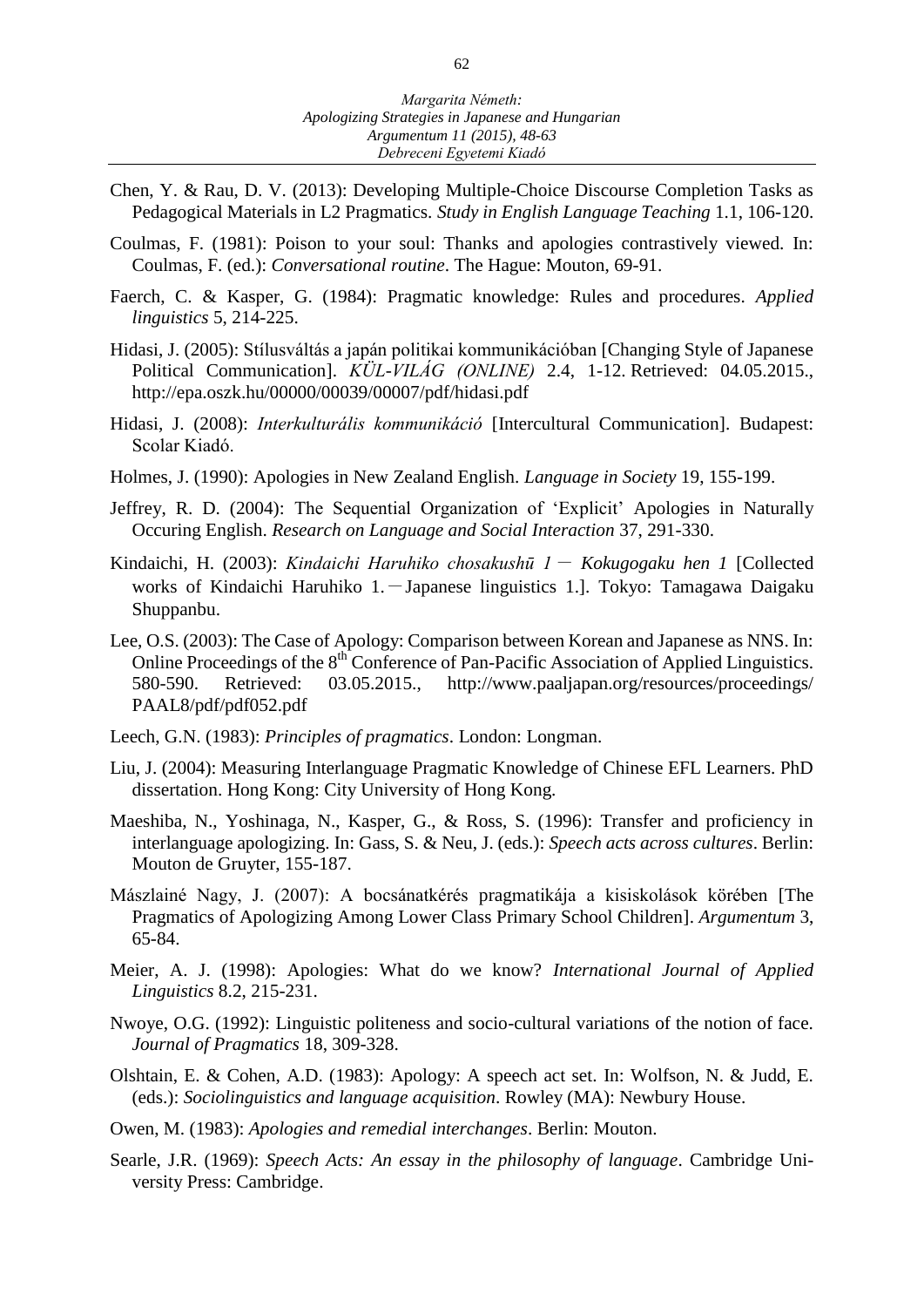- Chen, Y. & Rau, D. V. (2013): Developing Multiple-Choice Discourse Completion Tasks as Pedagogical Materials in L2 Pragmatics. *Study in English Language Teaching* 1.1, 106-120.
- Coulmas, F. (1981): Poison to your soul: Thanks and apologies contrastively viewed. In: Coulmas, F. (ed.): *Conversational routine*. The Hague: Mouton, 69-91.
- Faerch, C. & Kasper, G. (1984): Pragmatic knowledge: Rules and procedures. *Applied linguistics* 5, 214-225.
- Hidasi, J. (2005): Stílusváltás a japán politikai kommunikációban [Changing Style of Japanese Political Communication]. *KÜL-VILÁG (ONLINE)* 2.4, 1-12. Retrieved: 04.05.2015., http://epa.oszk.hu/00000/00039/00007/pdf/hidasi.pdf
- Hidasi, J. (2008): *Interkulturális kommunikáció* [Intercultural Communication]. Budapest: Scolar Kiadó.
- Holmes, J. (1990): Apologies in New Zealand English. *Language in Society* 19, 155-199.
- Jeffrey, R. D. (2004): The Sequential Organization of 'Explicit' Apologies in Naturally Occuring English. *Research on Language and Social Interaction* 37, 291-330.
- Kindaichi, H. (2003): *Kindaichi Haruhiko chosakushū 1 Kokugogaku hen 1* [Collected works of Kindaichi Haruhiko 1.-Japanese linguistics 1.1. Tokyo: Tamagawa Daigaku Shuppanbu.
- Lee, O.S. (2003): The Case of Apology: Comparison between Korean and Japanese as NNS. In: Online Proceedings of the 8<sup>th</sup> Conference of Pan-Pacific Association of Applied Linguistics. 580-590. Retrieved: 03.05.2015., http://www.paaljapan.org/resources/proceedings/ PAAL8/pdf/pdf052.pdf
- Leech, G.N. (1983): *Principles of pragmatics*. London: Longman.
- Liu, J. (2004): Measuring Interlanguage Pragmatic Knowledge of Chinese EFL Learners. PhD dissertation. Hong Kong: City University of Hong Kong.
- Maeshiba, N., Yoshinaga, N., Kasper, G., & Ross, S. (1996): Transfer and proficiency in interlanguage apologizing. In: Gass, S. & Neu, J. (eds.): *Speech acts across cultures*. Berlin: Mouton de Gruyter, 155-187.
- Mászlainé Nagy, J. (2007): A bocsánatkérés pragmatikája a kisiskolások körében [The Pragmatics of Apologizing Among Lower Class Primary School Children]. *Argumentum* 3, 65-84.
- Meier, A. J. (1998): Apologies: What do we know? *International Journal of Applied Linguistics* 8.2, 215-231.
- Nwoye, O.G. (1992): Linguistic politeness and socio-cultural variations of the notion of face. *Journal of Pragmatics* 18, 309-328.
- Olshtain, E. & Cohen, A.D. (1983): Apology: A speech act set. In: Wolfson, N. & Judd, E. (eds.): *Sociolinguistics and language acquisition*. Rowley (MA): Newbury House.
- Owen, M. (1983): *Apologies and remedial interchanges*. Berlin: Mouton.
- Searle, J.R. (1969): *Speech Acts: An essay in the philosophy of language*. Cambridge University Press: Cambridge.